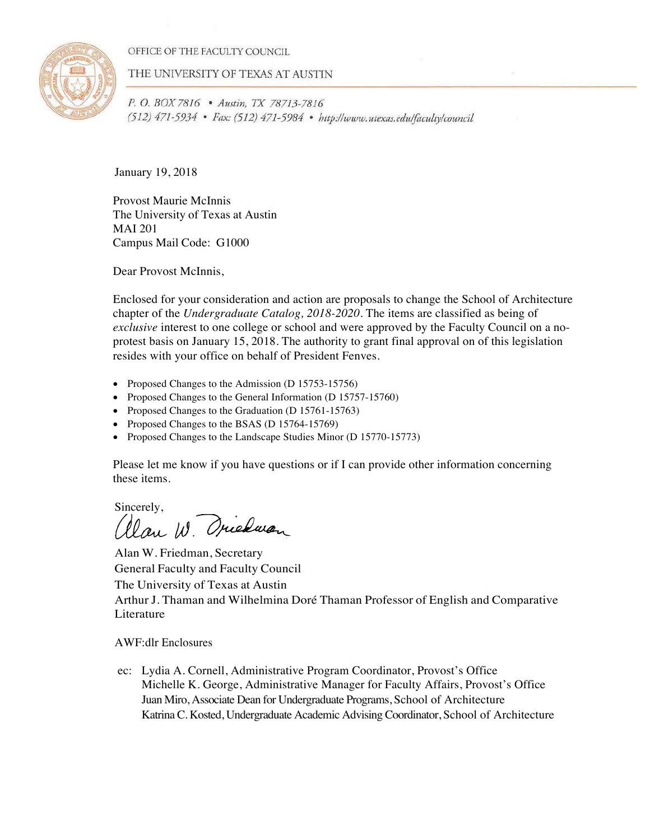OFFICE OF THE FACULTY COUNCIL



THE UNIVERSITY OF TEXAS AT AUSTIN

P. O. BOX 7816 . Austin, TX 78713-7816 (512) 471-5934 • Fax: (512) 471-5984 • http://www.utexas.edu/faculty/council

January 19, 2018

Provost Maurie McInnis The University of Texas at Austin MAI 201 Campus Mail Code: G1000

Dear Provost McInnis,

Enclosed for your consideration and action are proposals to change the School of Architecture chapter of the *Undergraduate Catalog, 2018-2020*. The items are classified as being of *exclusive* interest to one college or school and were approved by the Faculty Council on a noprotest basis on January 15, 2018. The authority to grant final approval on of this legislation resides with your office on behalf of President Fenves.

- Proposed Changes to the Admission (D 15753-15756)
- Proposed Changes to the General Information (D 15757-15760)
- Proposed Changes to the Graduation (D 15761-15763)
- Proposed Changes to the BSAS (D 15764-15769)
- Proposed Changes to the Landscape Studies Minor (D 15770-15773)

Please let me know if you have questions or if I can provide other information concerning these items.

Sincerely,<br>allan W. Orienan

Alan W. Friedman, Secretary General Faculty and Faculty Council The University of Texas at Austin Arthur J. Thaman and Wilhelmina Doré Thaman Professor of English and Comparative Literature

AWF:dlr Enclosures

ec: Lydia A. Cornell, Administrative Program Coordinator, Provost's Office Michelle K. George, Administrative Manager for Faculty Affairs, Provost's Office Juan Miro, Associate Dean for Undergraduate Programs, School of Architecture Katrina C. Kosted, Undergraduate Academic Advising Coordinator, School of Architecture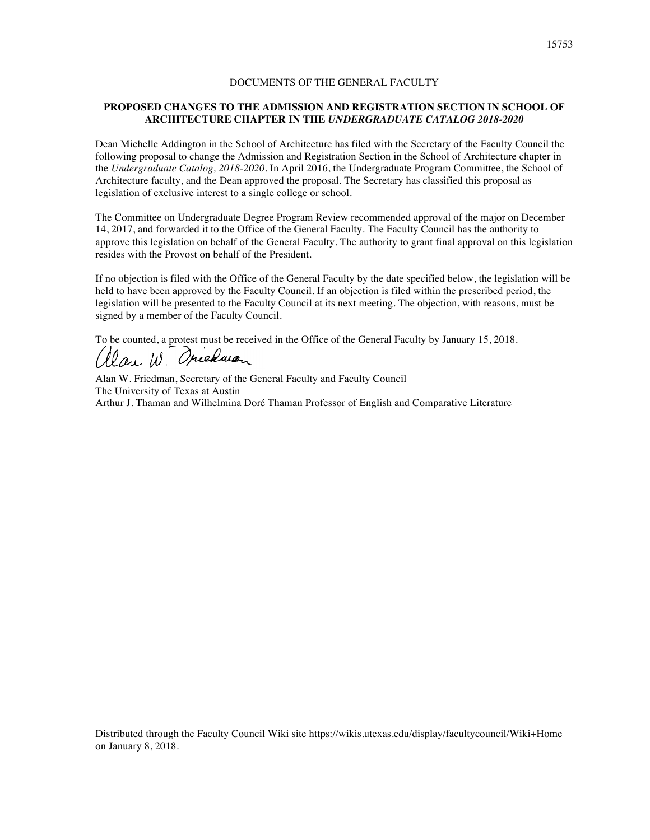### **PROPOSED CHANGES TO THE ADMISSION AND REGISTRATION SECTION IN SCHOOL OF ARCHITECTURE CHAPTER IN THE** *UNDERGRADUATE CATALOG 2018-2020*

Dean Michelle Addington in the School of Architecture has filed with the Secretary of the Faculty Council the following proposal to change the Admission and Registration Section in the School of Architecture chapter in the *Undergraduate Catalog, 2018-2020*. In April 2016, the Undergraduate Program Committee, the School of Architecture faculty, and the Dean approved the proposal. The Secretary has classified this proposal as legislation of exclusive interest to a single college or school.

The Committee on Undergraduate Degree Program Review recommended approval of the major on December 14, 2017, and forwarded it to the Office of the General Faculty. The Faculty Council has the authority to approve this legislation on behalf of the General Faculty. The authority to grant final approval on this legislation resides with the Provost on behalf of the President.

If no objection is filed with the Office of the General Faculty by the date specified below, the legislation will be held to have been approved by the Faculty Council. If an objection is filed within the prescribed period, the legislation will be presented to the Faculty Council at its next meeting. The objection, with reasons, must be signed by a member of the Faculty Council.

To be counted, a protest must be received in the Office of the General Faculty by January 15, 2018.

llan W. Oriedwan

Alan W. Friedman, Secretary of the General Faculty and Faculty Council The University of Texas at Austin Arthur J. Thaman and Wilhelmina Doré Thaman Professor of English and Comparative Literature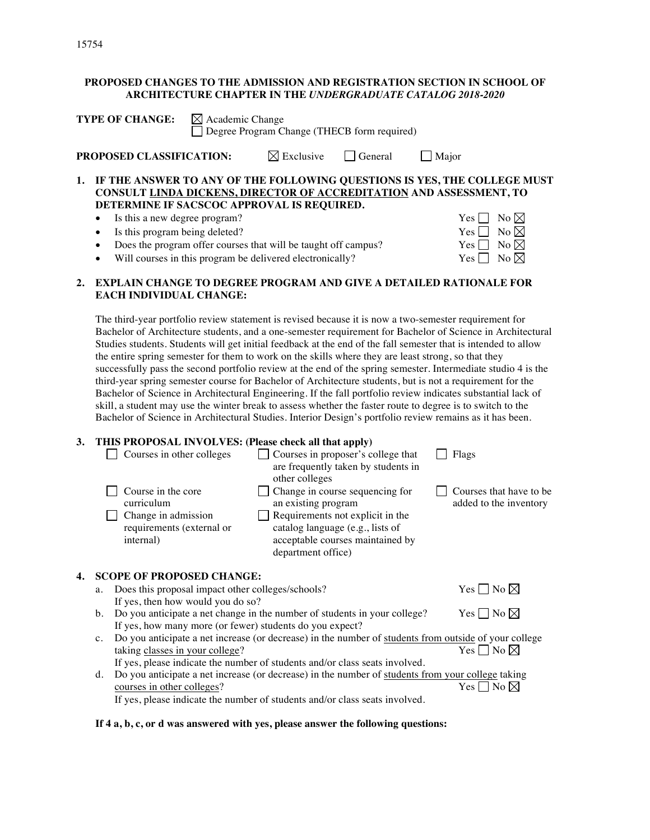# **PROPOSED CHANGES TO THE ADMISSION AND REGISTRATION SECTION IN SCHOOL OF ARCHITECTURE CHAPTER IN THE** *UNDERGRADUATE CATALOG 2018-2020*

| <b>TYPE OF CHANGE:</b> $\boxtimes$ Academic Change | Degree Program Change (THECB form required) |                                                   |                                                                                                                                                           |
|----------------------------------------------------|---------------------------------------------|---------------------------------------------------|-----------------------------------------------------------------------------------------------------------------------------------------------------------|
| PROPOSED CLASSIFICATION:                           |                                             | $\boxtimes$ Exclusive $\Box$ General $\Box$ Major |                                                                                                                                                           |
|                                                    |                                             |                                                   | 1. IF THE ANSWER TO ANY OF THE FOLLOWING QUESTIONS IS YES, THE COLLEGE MUST<br><b>CONSULT LINDA DICKENS, DIRECTOR OF ACCREDITATION AND ASSESSMENT, TO</b> |

**DETERMINE IF SACSCOC APPROVAL IS REQUIRED.**

- Is this a new degree program?  $Yes \Box No \boxtimes$
- Is this program being deleted?  $\forall$ es  $\Box$  No  $\boxtimes$
- Does the program offer courses that will be taught off campus? Yes  $\Box$  No  $\boxtimes$
- Will courses in this program be delivered electronically?  $\gamma$  Yes  $\Box$  No  $\boxtimes$

# **2. EXPLAIN CHANGE TO DEGREE PROGRAM AND GIVE A DETAILED RATIONALE FOR EACH INDIVIDUAL CHANGE:**

The third-year portfolio review statement is revised because it is now a two-semester requirement for Bachelor of Architecture students, and a one-semester requirement for Bachelor of Science in Architectural Studies students. Students will get initial feedback at the end of the fall semester that is intended to allow the entire spring semester for them to work on the skills where they are least strong, so that they successfully pass the second portfolio review at the end of the spring semester. Intermediate studio 4 is the third-year spring semester course for Bachelor of Architecture students, but is not a requirement for the Bachelor of Science in Architectural Engineering. If the fall portfolio review indicates substantial lack of skill, a student may use the winter break to assess whether the faster route to degree is to switch to the Bachelor of Science in Architectural Studies. Interior Design's portfolio review remains as it has been.

# **3. THIS PROPOSAL INVOLVES: (Please check all that apply)**

|    | Courses in other colleges                                                                         | Courses in proposer's college that<br>are frequently taken by students in<br>other colleges                                                                                              | Flags                                              |
|----|---------------------------------------------------------------------------------------------------|------------------------------------------------------------------------------------------------------------------------------------------------------------------------------------------|----------------------------------------------------|
|    | Course in the core<br>curriculum<br>Change in admission<br>requirements (external or<br>internal) | Change in course sequencing for<br>an existing program<br>Requirements not explicit in the<br>catalog language (e.g., lists of<br>acceptable courses maintained by<br>department office) | Courses that have to be.<br>added to the inventory |
| 4. | <b>SCOPE OF PROPOSED CHANGE:</b>                                                                  |                                                                                                                                                                                          |                                                    |
|    | Does this proposal impact other colleges/schools?<br>a.                                           |                                                                                                                                                                                          | Yes $\Box$ No $\boxtimes$                          |
|    | If yes, then how would you do so?                                                                 |                                                                                                                                                                                          |                                                    |
|    | b.                                                                                                | Do you anticipate a net change in the number of students in your college?                                                                                                                | Yes∣∣No ⊠                                          |
|    | If yes, how many more (or fewer) students do you expect?                                          |                                                                                                                                                                                          |                                                    |

- c. Do you anticipate a net increase (or decrease) in the number of students from outside of your college taking classes in your college?  $Yes \Box No \boxtimes$ If yes, please indicate the number of students and/or class seats involved.
- d. Do you anticipate a net increase (or decrease) in the number of students from your college taking courses in other colleges?  $Yes \Box No \boxtimes$

If yes, please indicate the number of students and/or class seats involved.

# **If 4 a, b, c, or d was answered with yes, please answer the following questions:**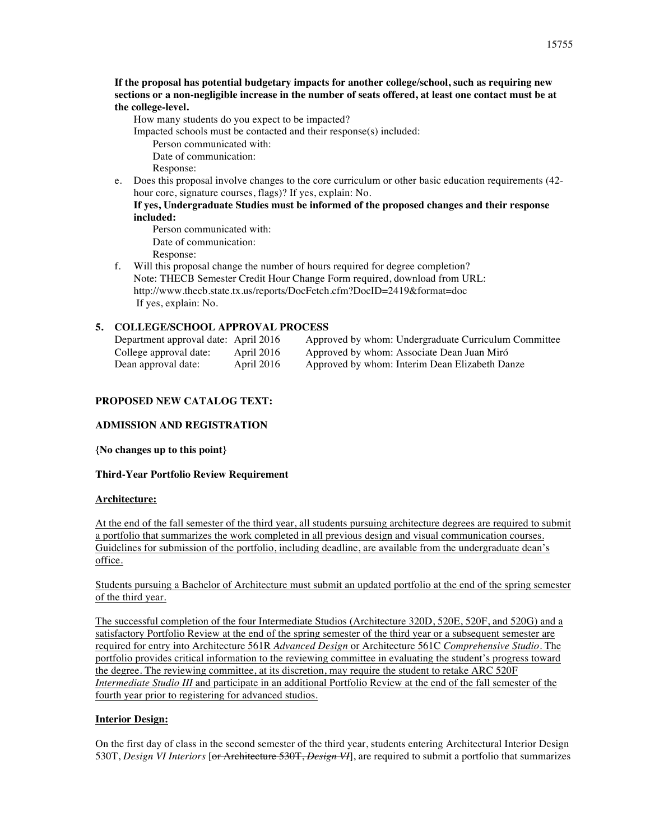**If the proposal has potential budgetary impacts for another college/school, such as requiring new sections or a non-negligible increase in the number of seats offered, at least one contact must be at the college-level.**

How many students do you expect to be impacted?

Impacted schools must be contacted and their response(s) included:

- Person communicated with: Date of communication: Response:
- e. Does this proposal involve changes to the core curriculum or other basic education requirements (42 hour core, signature courses, flags)? If yes, explain: No.

### **If yes, Undergraduate Studies must be informed of the proposed changes and their response included:**

Person communicated with: Date of communication: Response:

f. Will this proposal change the number of hours required for degree completion? Note: THECB Semester Credit Hour Change Form required, download from URL: http://www.thecb.state.tx.us/reports/DocFetch.cfm?DocID=2419&format=doc If yes, explain: No.

# **5. COLLEGE/SCHOOL APPROVAL PROCESS**

| Department approval date: April 2016 |            | Approved by whom: Undergraduate Curriculum Committee |
|--------------------------------------|------------|------------------------------------------------------|
| College approval date:               | April 2016 | Approved by whom: Associate Dean Juan Miró           |
| Dean approval date:                  | April 2016 | Approved by whom: Interim Dean Elizabeth Danze       |

# **PROPOSED NEW CATALOG TEXT:**

# **ADMISSION AND REGISTRATION**

**{No changes up to this point}**

# **Third-Year Portfolio Review Requirement**

# **Architecture:**

At the end of the fall semester of the third year, all students pursuing architecture degrees are required to submit a portfolio that summarizes the work completed in all previous design and visual communication courses. Guidelines for submission of the portfolio, including deadline, are available from the undergraduate dean's office.

Students pursuing a Bachelor of Architecture must submit an updated portfolio at the end of the spring semester of the third year.

The successful completion of the four Intermediate Studios (Architecture 320D, 520E, 520F, and 520G) and a satisfactory Portfolio Review at the end of the spring semester of the third year or a subsequent semester are required for entry into Architecture 561R *Advanced Design* or Architecture 561C *Comprehensive Studio*. The portfolio provides critical information to the reviewing committee in evaluating the student's progress toward the degree. The reviewing committee, at its discretion, may require the student to retake ARC 520F *Intermediate Studio III* and participate in an additional Portfolio Review at the end of the fall semester of the fourth year prior to registering for advanced studios.

# **Interior Design:**

On the first day of class in the second semester of the third year, students entering Architectural Interior Design 530T, *Design VI Interiors* [or Architecture 530T, *Design VI*], are required to submit a portfolio that summarizes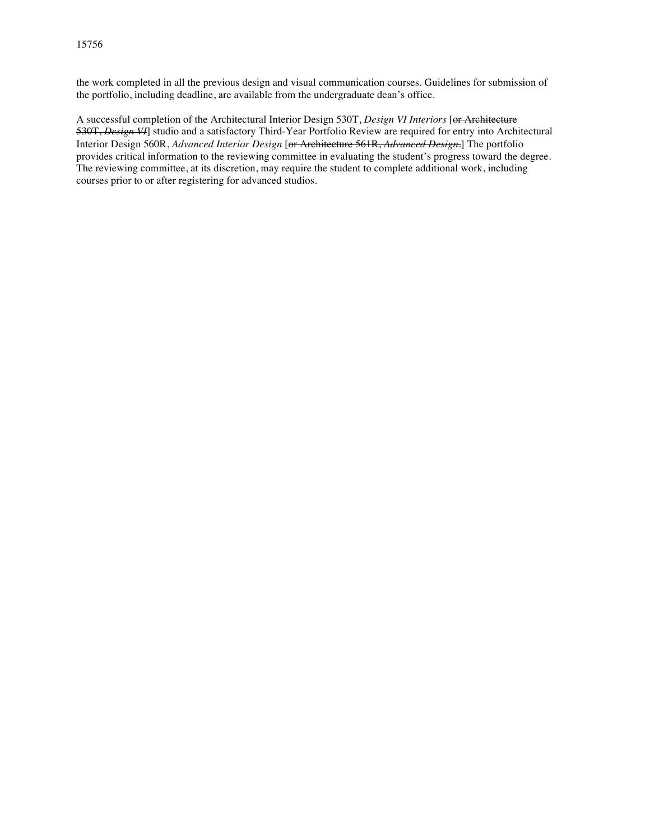the work completed in all the previous design and visual communication courses. Guidelines for submission of the portfolio, including deadline, are available from the undergraduate dean's office.

A successful completion of the Architectural Interior Design 530T, *Design VI Interiors* [or Architecture 530T, *Design VI*] studio and a satisfactory Third-Year Portfolio Review are required for entry into Architectural Interior Design 560R, *Advanced Interior Design* [or Architecture 561R, *Advanced Design*.] The portfolio provides critical information to the reviewing committee in evaluating the student's progress toward the degree. The reviewing committee, at its discretion, may require the student to complete additional work, including courses prior to or after registering for advanced studios.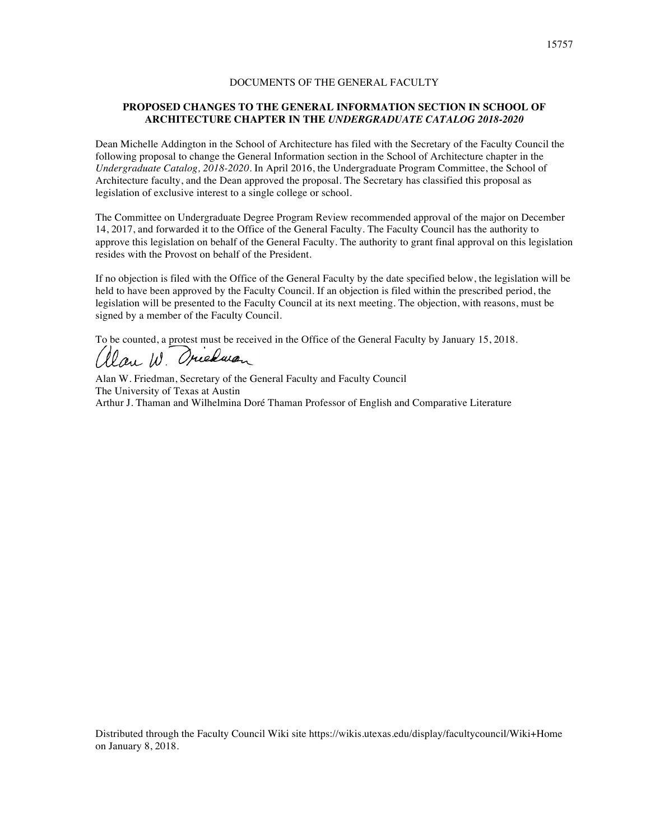### **PROPOSED CHANGES TO THE GENERAL INFORMATION SECTION IN SCHOOL OF ARCHITECTURE CHAPTER IN THE** *UNDERGRADUATE CATALOG 2018-2020*

Dean Michelle Addington in the School of Architecture has filed with the Secretary of the Faculty Council the following proposal to change the General Information section in the School of Architecture chapter in the *Undergraduate Catalog, 2018-2020*. In April 2016, the Undergraduate Program Committee, the School of Architecture faculty, and the Dean approved the proposal. The Secretary has classified this proposal as legislation of exclusive interest to a single college or school.

The Committee on Undergraduate Degree Program Review recommended approval of the major on December 14, 2017, and forwarded it to the Office of the General Faculty. The Faculty Council has the authority to approve this legislation on behalf of the General Faculty. The authority to grant final approval on this legislation resides with the Provost on behalf of the President.

If no objection is filed with the Office of the General Faculty by the date specified below, the legislation will be held to have been approved by the Faculty Council. If an objection is filed within the prescribed period, the legislation will be presented to the Faculty Council at its next meeting. The objection, with reasons, must be signed by a member of the Faculty Council.

To be counted, a protest must be received in the Office of the General Faculty by January 15, 2018.

llan W. Oriedwan

Alan W. Friedman, Secretary of the General Faculty and Faculty Council The University of Texas at Austin Arthur J. Thaman and Wilhelmina Doré Thaman Professor of English and Comparative Literature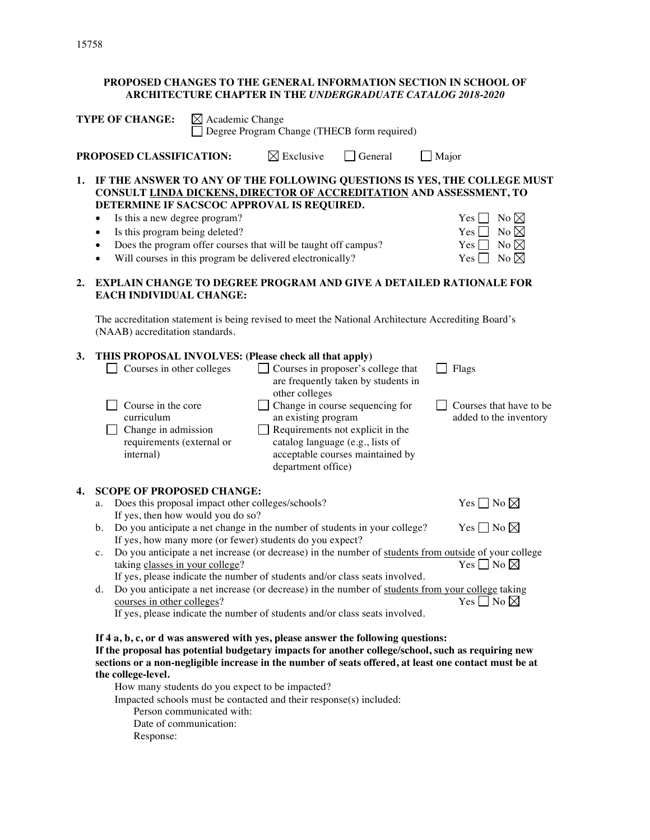# **PROPOSED CHANGES TO THE GENERAL INFORMATION SECTION IN SCHOOL OF ARCHITECTURE CHAPTER IN THE** *UNDERGRADUATE CATALOG 2018-2020*

|    | <b>TYPE OF CHANGE:</b><br>$\boxtimes$ Academic Change<br>Degree Program Change (THECB form required)                                                                                                                                                                                                                 |                                   |                                                                                                                                                                                                                                                                                                                                                                                                                                                                                                                                                                        |                                                                                                                                                                                                                            |                                                                                                                  |                                                                      |  |
|----|----------------------------------------------------------------------------------------------------------------------------------------------------------------------------------------------------------------------------------------------------------------------------------------------------------------------|-----------------------------------|------------------------------------------------------------------------------------------------------------------------------------------------------------------------------------------------------------------------------------------------------------------------------------------------------------------------------------------------------------------------------------------------------------------------------------------------------------------------------------------------------------------------------------------------------------------------|----------------------------------------------------------------------------------------------------------------------------------------------------------------------------------------------------------------------------|------------------------------------------------------------------------------------------------------------------|----------------------------------------------------------------------|--|
|    | PROPOSED CLASSIFICATION:<br>$\boxtimes$ Exclusive<br>$\Box$ General<br>$\Box$ Major                                                                                                                                                                                                                                  |                                   |                                                                                                                                                                                                                                                                                                                                                                                                                                                                                                                                                                        |                                                                                                                                                                                                                            |                                                                                                                  |                                                                      |  |
| 1. | IF THE ANSWER TO ANY OF THE FOLLOWING QUESTIONS IS YES, THE COLLEGE MUST<br>CONSULT LINDA DICKENS, DIRECTOR OF ACCREDITATION AND ASSESSMENT, TO<br>DETERMINE IF SACSCOC APPROVAL IS REQUIRED.<br>Is this a new degree program?<br>٠<br>Is this program being deleted?<br>$\bullet$<br>٠                              |                                   | Does the program offer courses that will be taught off campus?<br>Will courses in this program be delivered electronically?                                                                                                                                                                                                                                                                                                                                                                                                                                            |                                                                                                                                                                                                                            | $Yes$    <br>Yes <sub>1</sub><br>Yes  <br>Yes [                                                                  | No $\boxtimes$<br>No $\boxtimes$<br>No $\boxtimes$<br>No $\boxtimes$ |  |
| 2. | <b>EXPLAIN CHANGE TO DEGREE PROGRAM AND GIVE A DETAILED RATIONALE FOR</b><br><b>EACH INDIVIDUAL CHANGE:</b>                                                                                                                                                                                                          |                                   |                                                                                                                                                                                                                                                                                                                                                                                                                                                                                                                                                                        |                                                                                                                                                                                                                            |                                                                                                                  |                                                                      |  |
|    | The accreditation statement is being revised to meet the National Architecture Accrediting Board's<br>(NAAB) accreditation standards.                                                                                                                                                                                |                                   |                                                                                                                                                                                                                                                                                                                                                                                                                                                                                                                                                                        |                                                                                                                                                                                                                            |                                                                                                                  |                                                                      |  |
| 3. | THIS PROPOSAL INVOLVES: (Please check all that apply)<br>Courses in other colleges<br>Course in the core<br>curriculum<br>Change in admission<br>requirements (external or<br>internal)                                                                                                                              |                                   | other colleges<br>an existing program<br>department office)                                                                                                                                                                                                                                                                                                                                                                                                                                                                                                            | □ Courses in proposer's college that<br>are frequently taken by students in<br>Change in course sequencing for<br>Requirements not explicit in the<br>catalog language (e.g., lists of<br>acceptable courses maintained by | Flags                                                                                                            | Courses that have to be.<br>added to the inventory                   |  |
| 4. | <b>SCOPE OF PROPOSED CHANGE:</b><br>a.<br>b.<br>c.<br>taking classes in your college?<br>d.<br>courses in other colleges?                                                                                                                                                                                            | If yes, then how would you do so? | Does this proposal impact other colleges/schools?<br>Do you anticipate a net change in the number of students in your college?<br>If yes, how many more (or fewer) students do you expect?<br>Do you anticipate a net increase (or decrease) in the number of students from outside of your college<br>If yes, please indicate the number of students and/or class seats involved.<br>Do you anticipate a net increase (or decrease) in the number of students from your college taking<br>If yes, please indicate the number of students and/or class seats involved. |                                                                                                                                                                                                                            | Yes $\Box$ No $\boxtimes$<br>Yes $\Box$ No $\boxtimes$<br>Yes $\Box$ No $\boxtimes$<br>Yes $\Box$ No $\boxtimes$ |                                                                      |  |
|    | If 4 a, b, c, or d was answered with yes, please answer the following questions:<br>If the proposal has potential budgetary impacts for another college/school, such as requiring new<br>sections or a non-negligible increase in the number of seats offered, at least one contact must be at<br>the college-level. |                                   | How many students do you expect to be impacted?                                                                                                                                                                                                                                                                                                                                                                                                                                                                                                                        |                                                                                                                                                                                                                            |                                                                                                                  |                                                                      |  |

How many students do you expect to be impacted?

Impacted schools must be contacted and their response(s) included:

- Person communicated with:
- Date of communication:

Response: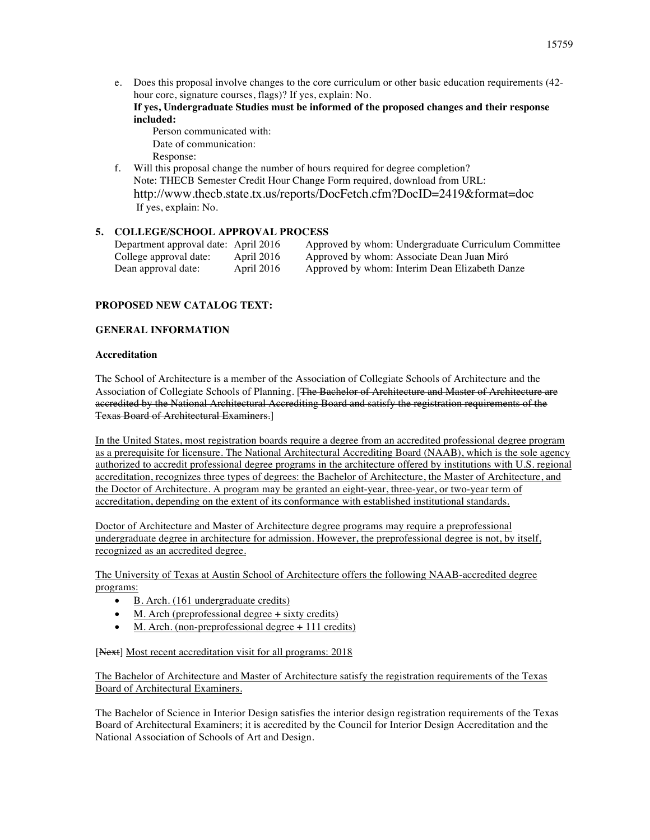e. Does this proposal involve changes to the core curriculum or other basic education requirements (42 hour core, signature courses, flags)? If yes, explain: No.

**If yes, Undergraduate Studies must be informed of the proposed changes and their response included:**

- Person communicated with: Date of communication: Response:
- f. Will this proposal change the number of hours required for degree completion? Note: THECB Semester Credit Hour Change Form required, download from URL: http://www.thecb.state.tx.us/reports/DocFetch.cfm?DocID=2419&format=doc If yes, explain: No.

# **5. COLLEGE/SCHOOL APPROVAL PROCESS**

| Department approval date: April 2016 |            | Approved by whom: Undergraduate Curriculum Committee |
|--------------------------------------|------------|------------------------------------------------------|
| College approval date:               | April 2016 | Approved by whom: Associate Dean Juan Miró           |
| Dean approval date:                  | April 2016 | Approved by whom: Interim Dean Elizabeth Danze       |

# **PROPOSED NEW CATALOG TEXT:**

# **GENERAL INFORMATION**

### **Accreditation**

The School of Architecture is a member of the Association of Collegiate Schools of Architecture and the Association of Collegiate Schools of Planning. [The Bachelor of Architecture and Master of Architecture are accredited by the National Architectural Accrediting Board and satisfy the registration requirements of the Texas Board of Architectural Examiners.]

In the United States, most registration boards require a degree from an accredited professional degree program as a prerequisite for licensure. The National Architectural Accrediting Board (NAAB), which is the sole agency authorized to accredit professional degree programs in the architecture offered by institutions with U.S. regional accreditation, recognizes three types of degrees: the Bachelor of Architecture, the Master of Architecture, and the Doctor of Architecture. A program may be granted an eight-year, three-year, or two-year term of accreditation, depending on the extent of its conformance with established institutional standards.

Doctor of Architecture and Master of Architecture degree programs may require a preprofessional undergraduate degree in architecture for admission. However, the preprofessional degree is not, by itself, recognized as an accredited degree.

The University of Texas at Austin School of Architecture offers the following NAAB-accredited degree programs:

- B. Arch. (161 undergraduate credits)
- M. Arch (preprofessional degree  $+$  sixty credits)
- M. Arch. (non-preprofessional degree  $+111$  credits)

[Next] Most recent accreditation visit for all programs: 2018]

The Bachelor of Architecture and Master of Architecture satisfy the registration requirements of the Texas Board of Architectural Examiners.

The Bachelor of Science in Interior Design satisfies the interior design registration requirements of the Texas Board of Architectural Examiners; it is accredited by the Council for Interior Design Accreditation and the National Association of Schools of Art and Design.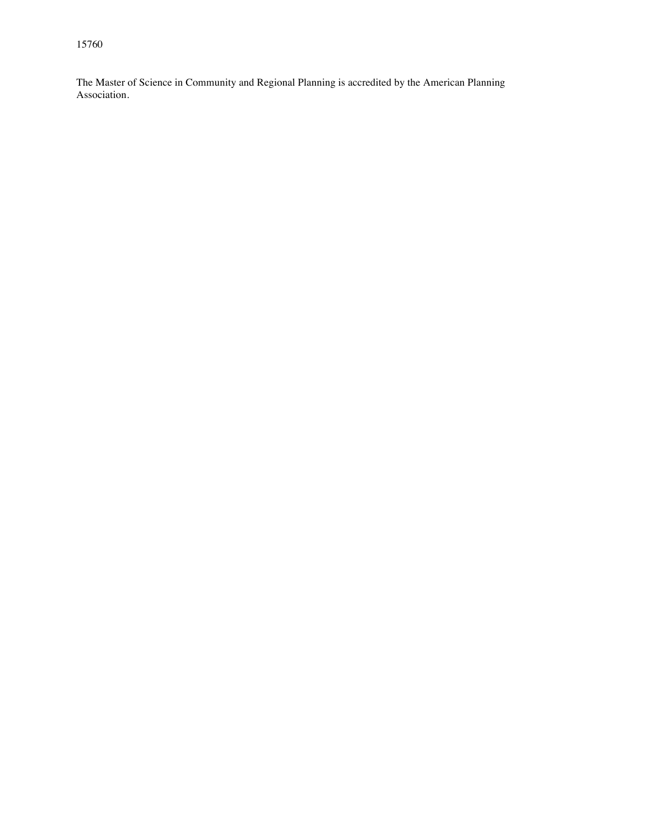The Master of Science in Community and Regional Planning is accredited by the American Planning Association.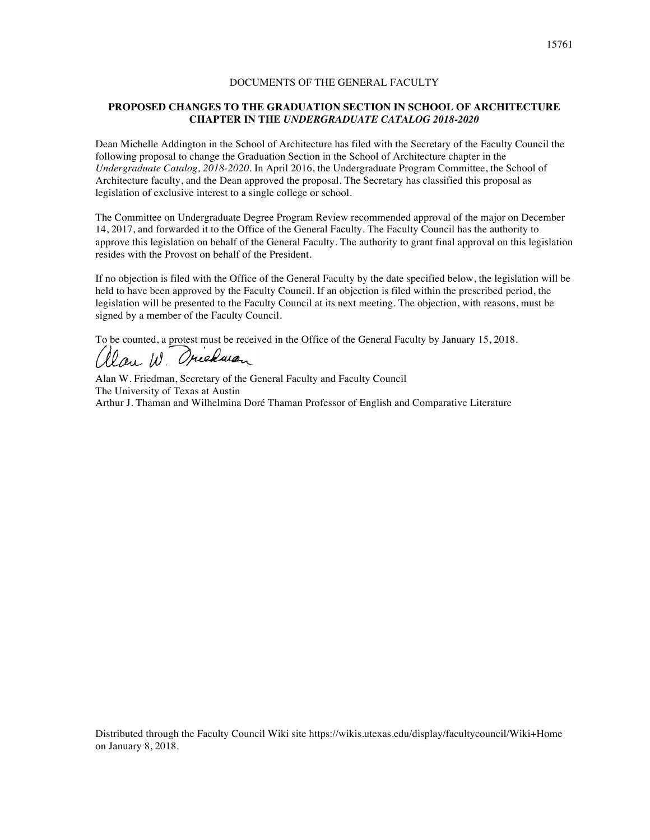#### **PROPOSED CHANGES TO THE GRADUATION SECTION IN SCHOOL OF ARCHITECTURE CHAPTER IN THE** *UNDERGRADUATE CATALOG 2018-2020*

Dean Michelle Addington in the School of Architecture has filed with the Secretary of the Faculty Council the following proposal to change the Graduation Section in the School of Architecture chapter in the *Undergraduate Catalog, 2018-2020*. In April 2016, the Undergraduate Program Committee, the School of Architecture faculty, and the Dean approved the proposal. The Secretary has classified this proposal as legislation of exclusive interest to a single college or school.

The Committee on Undergraduate Degree Program Review recommended approval of the major on December 14, 2017, and forwarded it to the Office of the General Faculty. The Faculty Council has the authority to approve this legislation on behalf of the General Faculty. The authority to grant final approval on this legislation resides with the Provost on behalf of the President.

If no objection is filed with the Office of the General Faculty by the date specified below, the legislation will be held to have been approved by the Faculty Council. If an objection is filed within the prescribed period, the legislation will be presented to the Faculty Council at its next meeting. The objection, with reasons, must be signed by a member of the Faculty Council.

To be counted, a protest must be received in the Office of the General Faculty by January 15, 2018.

Clau W. Oriedwan

Alan W. Friedman, Secretary of the General Faculty and Faculty Council The University of Texas at Austin Arthur J. Thaman and Wilhelmina Doré Thaman Professor of English and Comparative Literature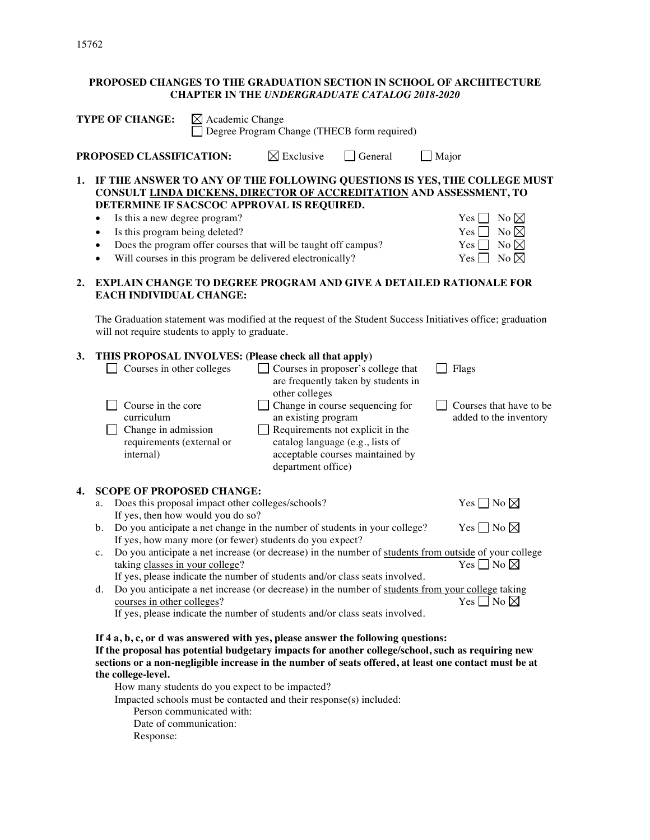# **PROPOSED CHANGES TO THE GRADUATION SECTION IN SCHOOL OF ARCHITECTURE CHAPTER IN THE** *UNDERGRADUATE CATALOG 2018-2020*

|    | $\boxtimes$ Academic Change<br><b>TYPE OF CHANGE:</b><br>Degree Program Change (THECB form required)                                                                                                                                                                                                                                                                                                                                                                                                                                                                                                                                                                                                                                                                                                                                                                     |  |  |  |  |  |
|----|--------------------------------------------------------------------------------------------------------------------------------------------------------------------------------------------------------------------------------------------------------------------------------------------------------------------------------------------------------------------------------------------------------------------------------------------------------------------------------------------------------------------------------------------------------------------------------------------------------------------------------------------------------------------------------------------------------------------------------------------------------------------------------------------------------------------------------------------------------------------------|--|--|--|--|--|
|    | PROPOSED CLASSIFICATION:<br>$\boxtimes$ Exclusive<br>General<br>Major                                                                                                                                                                                                                                                                                                                                                                                                                                                                                                                                                                                                                                                                                                                                                                                                    |  |  |  |  |  |
| 1. | IF THE ANSWER TO ANY OF THE FOLLOWING QUESTIONS IS YES, THE COLLEGE MUST<br>CONSULT LINDA DICKENS, DIRECTOR OF ACCREDITATION AND ASSESSMENT, TO<br>DETERMINE IF SACSCOC APPROVAL IS REQUIRED.<br>No $\boxtimes$<br>Is this a new degree program?<br>Yes <sub>1</sub><br>Is this program being deleted?<br>No $\boxtimes$<br>$Yes \lceil$<br>$\bullet$<br>No $\boxtimes$<br>Does the program offer courses that will be taught off campus?<br>Yes [<br>$\bullet$<br>Will courses in this program be delivered electronically?<br>No $\boxtimes$<br>$Yes$ $\Box$<br>$\bullet$                                                                                                                                                                                                                                                                                              |  |  |  |  |  |
| 2. | EXPLAIN CHANGE TO DEGREE PROGRAM AND GIVE A DETAILED RATIONALE FOR<br><b>EACH INDIVIDUAL CHANGE:</b>                                                                                                                                                                                                                                                                                                                                                                                                                                                                                                                                                                                                                                                                                                                                                                     |  |  |  |  |  |
|    | The Graduation statement was modified at the request of the Student Success Initiatives office; graduation<br>will not require students to apply to graduate.                                                                                                                                                                                                                                                                                                                                                                                                                                                                                                                                                                                                                                                                                                            |  |  |  |  |  |
| 3. | THIS PROPOSAL INVOLVES: (Please check all that apply)<br>Courses in proposer's college that<br>Courses in other colleges<br>Flags<br>are frequently taken by students in<br>other colleges<br>Change in course sequencing for<br>Course in the core<br>Courses that have to be<br>an existing program<br>curriculum<br>added to the inventory<br>Requirements not explicit in the<br>Change in admission<br>requirements (external or<br>catalog language (e.g., lists of<br>acceptable courses maintained by<br>internal)<br>department office)                                                                                                                                                                                                                                                                                                                         |  |  |  |  |  |
| 4. | <b>SCOPE OF PROPOSED CHANGE:</b><br>Yes $\square$ No $\square$<br>Does this proposal impact other colleges/schools?<br>a.<br>If yes, then how would you do so?<br>Yes $\Box$ No $\boxtimes$<br>Do you anticipate a net change in the number of students in your college?<br>$\mathbf b$ .<br>If yes, how many more (or fewer) students do you expect?<br>Do you anticipate a net increase (or decrease) in the number of students from outside of your college<br>c.<br>Yes $\Box$ No $\boxtimes$<br>taking classes in your college?<br>If yes, please indicate the number of students and/or class seats involved.<br>Do you anticipate a net increase (or decrease) in the number of students from your college taking<br>d.<br>Yes $\Box$ No $\boxtimes$<br>courses in other colleges?<br>If yes, please indicate the number of students and/or class seats involved. |  |  |  |  |  |
|    | If 4 a, b, c, or d was answered with yes, please answer the following questions:<br>If the proposal has potential budgetary impacts for another college/school, such as requiring new<br>sections or a non-negligible increase in the number of seats offered, at least one contact must be at<br>the college-level.<br>How many students do you expect to be impacted?<br>Impacted schools must be contacted and their response(s) included:<br>Person communicated with:                                                                                                                                                                                                                                                                                                                                                                                               |  |  |  |  |  |

- Date of communication:
- Response: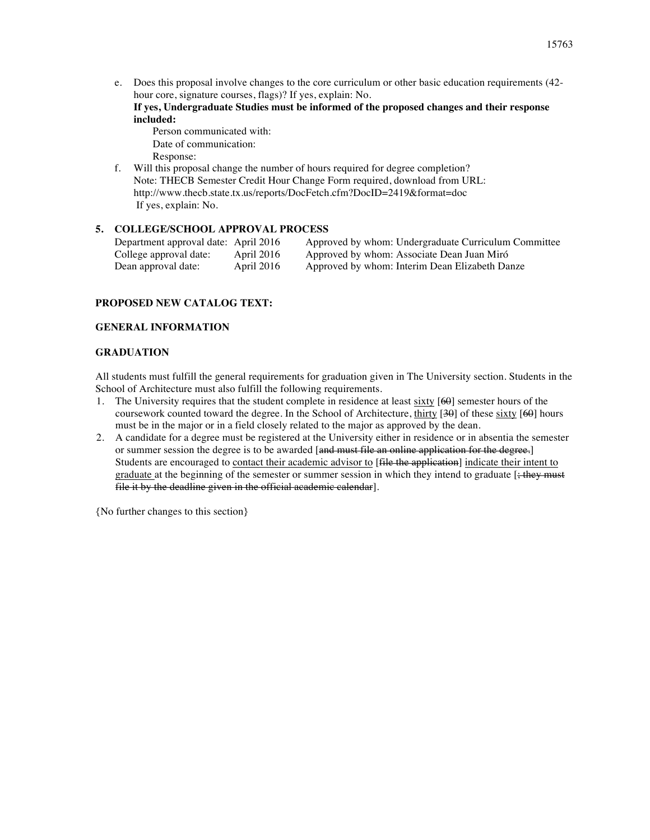e. Does this proposal involve changes to the core curriculum or other basic education requirements (42 hour core, signature courses, flags)? If yes, explain: No.

**If yes, Undergraduate Studies must be informed of the proposed changes and their response included:**

- Person communicated with: Date of communication: Response:
- f. Will this proposal change the number of hours required for degree completion? Note: THECB Semester Credit Hour Change Form required, download from URL: http://www.thecb.state.tx.us/reports/DocFetch.cfm?DocID=2419&format=doc If yes, explain: No.

# **5. COLLEGE/SCHOOL APPROVAL PROCESS**

| Department approval date: April 2016 |            | Approved by whom: Undergraduate Curriculum Committee |
|--------------------------------------|------------|------------------------------------------------------|
| College approval date:               | April 2016 | Approved by whom: Associate Dean Juan Miró           |
| Dean approval date:                  | April 2016 | Approved by whom: Interim Dean Elizabeth Danze       |

# **PROPOSED NEW CATALOG TEXT:**

# **GENERAL INFORMATION**

### **GRADUATION**

All students must fulfill the general requirements for graduation given in The University section. Students in the School of Architecture must also fulfill the following requirements.

- 1. The University requires that the student complete in residence at least sixty [60] semester hours of the coursework counted toward the degree. In the School of Architecture, thirty [30] of these sixty [60] hours must be in the major or in a field closely related to the major as approved by the dean.
- 2. A candidate for a degree must be registered at the University either in residence or in absentia the semester or summer session the degree is to be awarded [and must file an online application for the degree.] Students are encouraged to contact their academic advisor to [file the application] indicate their intent to graduate at the beginning of the semester or summer session in which they intend to graduate  $\frac{1}{2}$ ; they must file it by the deadline given in the official academic calendar].

{No further changes to this section}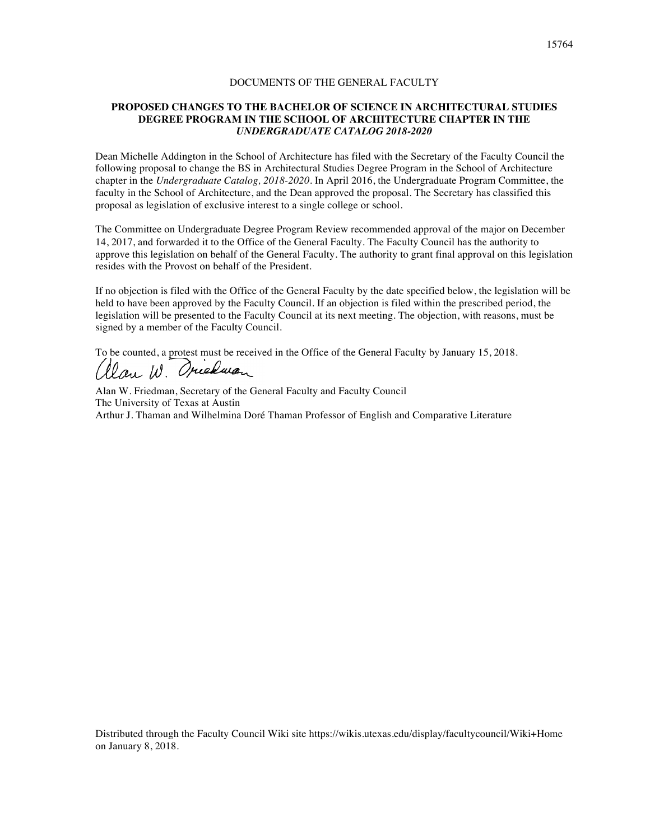### **PROPOSED CHANGES TO THE BACHELOR OF SCIENCE IN ARCHITECTURAL STUDIES DEGREE PROGRAM IN THE SCHOOL OF ARCHITECTURE CHAPTER IN THE**  *UNDERGRADUATE CATALOG 2018-2020*

Dean Michelle Addington in the School of Architecture has filed with the Secretary of the Faculty Council the following proposal to change the BS in Architectural Studies Degree Program in the School of Architecture chapter in the *Undergraduate Catalog, 2018-2020*. In April 2016, the Undergraduate Program Committee, the faculty in the School of Architecture, and the Dean approved the proposal. The Secretary has classified this proposal as legislation of exclusive interest to a single college or school.

The Committee on Undergraduate Degree Program Review recommended approval of the major on December 14, 2017, and forwarded it to the Office of the General Faculty. The Faculty Council has the authority to approve this legislation on behalf of the General Faculty. The authority to grant final approval on this legislation resides with the Provost on behalf of the President.

If no objection is filed with the Office of the General Faculty by the date specified below, the legislation will be held to have been approved by the Faculty Council. If an objection is filed within the prescribed period, the legislation will be presented to the Faculty Council at its next meeting. The objection, with reasons, must be signed by a member of the Faculty Council.

To be counted, a protest must be received in the Office of the General Faculty by January 15, 2018.<br>( $\ell$ lau  $\mu$ . Operation

Alan W. Friedman, Secretary of the General Faculty and Faculty Council The University of Texas at Austin Arthur J. Thaman and Wilhelmina Doré Thaman Professor of English and Comparative Literature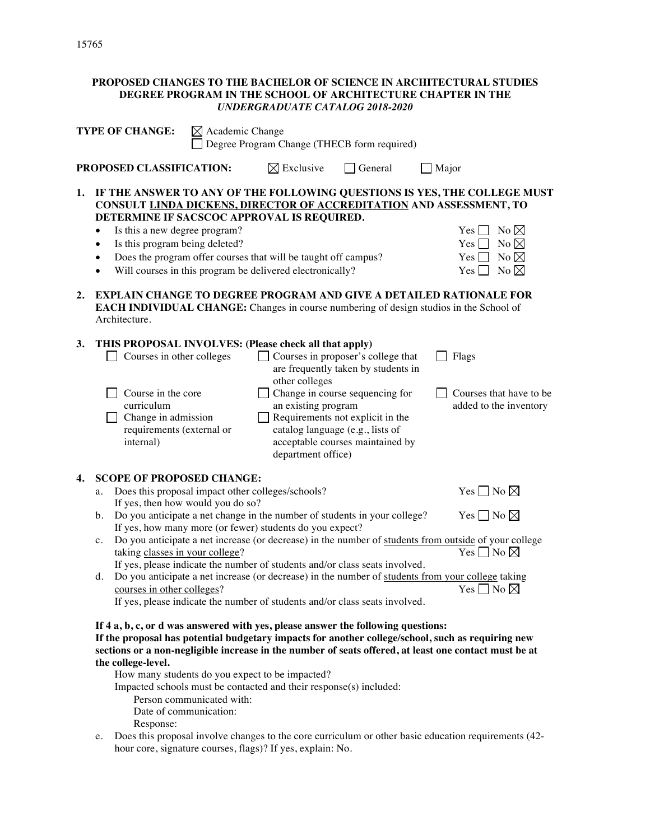### **PROPOSED CHANGES TO THE BACHELOR OF SCIENCE IN ARCHITECTURAL STUDIES DEGREE PROGRAM IN THE SCHOOL OF ARCHITECTURE CHAPTER IN THE**  *UNDERGRADUATE CATALOG 2018-2020*

|    | <b>TYPE OF CHANGE:</b><br>$\boxtimes$ Academic Change<br>Degree Program Change (THECB form required) |                                                                                                                                |                           |                                                                                                                                                                           |                                                                                                                                                                                                                          |                                                                                                                                                                                                                                                                                    |
|----|------------------------------------------------------------------------------------------------------|--------------------------------------------------------------------------------------------------------------------------------|---------------------------|---------------------------------------------------------------------------------------------------------------------------------------------------------------------------|--------------------------------------------------------------------------------------------------------------------------------------------------------------------------------------------------------------------------|------------------------------------------------------------------------------------------------------------------------------------------------------------------------------------------------------------------------------------------------------------------------------------|
|    |                                                                                                      | PROPOSED CLASSIFICATION:                                                                                                       |                           | $\boxtimes$ Exclusive                                                                                                                                                     | General                                                                                                                                                                                                                  | $\Box$ Major                                                                                                                                                                                                                                                                       |
| 1. | $\bullet$<br>$\bullet$<br>$\bullet$<br>$\bullet$                                                     | Is this a new degree program?<br>Is this program being deleted?                                                                |                           | DETERMINE IF SACSCOC APPROVAL IS REQUIRED.<br>Does the program offer courses that will be taught off campus?<br>Will courses in this program be delivered electronically? |                                                                                                                                                                                                                          | IF THE ANSWER TO ANY OF THE FOLLOWING QUESTIONS IS YES, THE COLLEGE MUST<br>CONSULT LINDA DICKENS, DIRECTOR OF ACCREDITATION AND ASSESSMENT, TO<br>No $\boxtimes$<br>Yes <sub>l</sub><br>No $\boxtimes$<br>Yes  <br>No $\boxtimes$<br>$Yes \Box$<br>No $\boxtimes$<br>$Yes$ $\Box$ |
| 2. |                                                                                                      | Architecture.                                                                                                                  |                           |                                                                                                                                                                           |                                                                                                                                                                                                                          | <b>EXPLAIN CHANGE TO DEGREE PROGRAM AND GIVE A DETAILED RATIONALE FOR</b><br><b>EACH INDIVIDUAL CHANGE:</b> Changes in course numbering of design studios in the School of                                                                                                         |
| 3. |                                                                                                      | Courses in other colleges<br>Course in the core<br>curriculum<br>Change in admission<br>requirements (external or<br>internal) |                           | THIS PROPOSAL INVOLVES: (Please check all that apply)<br>other colleges<br>an existing program<br>department office)                                                      | Courses in proposer's college that<br>are frequently taken by students in<br>Change in course sequencing for<br>Requirements not explicit in the<br>catalog language (e.g., lists of<br>acceptable courses maintained by | Flags<br>Courses that have to be<br>added to the inventory                                                                                                                                                                                                                         |
| 4. |                                                                                                      | <b>SCOPE OF PROPOSED CHANGE:</b>                                                                                               |                           |                                                                                                                                                                           |                                                                                                                                                                                                                          |                                                                                                                                                                                                                                                                                    |
|    | a.                                                                                                   |                                                                                                                                |                           | Does this proposal impact other colleges/schools?                                                                                                                         |                                                                                                                                                                                                                          | Yes $\Box$ No $\boxtimes$                                                                                                                                                                                                                                                          |
|    | b.                                                                                                   | If yes, then how would you do so?                                                                                              |                           |                                                                                                                                                                           | Do you anticipate a net change in the number of students in your college?                                                                                                                                                | Yes $\Box$ No $\boxtimes$                                                                                                                                                                                                                                                          |
|    |                                                                                                      |                                                                                                                                |                           | If yes, how many more (or fewer) students do you expect?                                                                                                                  |                                                                                                                                                                                                                          |                                                                                                                                                                                                                                                                                    |
|    | c.                                                                                                   | taking classes in your college?                                                                                                |                           |                                                                                                                                                                           | If yes, please indicate the number of students and/or class seats involved.                                                                                                                                              | Do you anticipate a net increase (or decrease) in the number of students from outside of your college<br>Yes $\square$ No $\square$                                                                                                                                                |
|    | d.                                                                                                   |                                                                                                                                |                           |                                                                                                                                                                           |                                                                                                                                                                                                                          | Do you anticipate a net increase (or decrease) in the number of students from your college taking                                                                                                                                                                                  |
|    |                                                                                                      | courses in other colleges?                                                                                                     |                           |                                                                                                                                                                           | If yes, please indicate the number of students and/or class seats involved.                                                                                                                                              | Yes $\square$ No $\square$                                                                                                                                                                                                                                                         |
|    |                                                                                                      | the college-level.<br>Date of communication:<br>Response:                                                                      | Person communicated with: | How many students do you expect to be impacted?<br>Impacted schools must be contacted and their response(s) included:                                                     | If 4 a, b, c, or d was answered with yes, please answer the following questions:                                                                                                                                         | If the proposal has potential budgetary impacts for another college/school, such as requiring new<br>sections or a non-negligible increase in the number of seats offered, at least one contact must be at                                                                         |

e. Does this proposal involve changes to the core curriculum or other basic education requirements (42 hour core, signature courses, flags)? If yes, explain: No.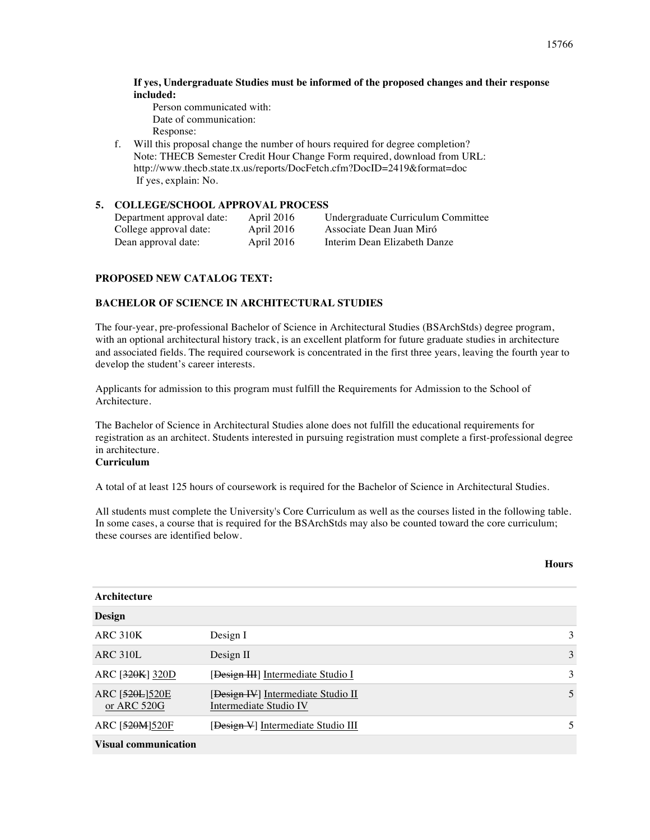### **If yes, Undergraduate Studies must be informed of the proposed changes and their response included:**

Person communicated with: Date of communication: Response:

f. Will this proposal change the number of hours required for degree completion? Note: THECB Semester Credit Hour Change Form required, download from URL: http://www.thecb.state.tx.us/reports/DocFetch.cfm?DocID=2419&format=doc If yes, explain: No.

# **5. COLLEGE/SCHOOL APPROVAL PROCESS**

| Department approval date: | April 2016 | Undergraduate Curriculum Committee |
|---------------------------|------------|------------------------------------|
| College approval date:    | April 2016 | Associate Dean Juan Miró           |
| Dean approval date:       | April 2016 | Interim Dean Elizabeth Danze       |

# **PROPOSED NEW CATALOG TEXT:**

### **BACHELOR OF SCIENCE IN ARCHITECTURAL STUDIES**

The four-year, pre-professional Bachelor of Science in Architectural Studies (BSArchStds) degree program, with an optional architectural history track, is an excellent platform for future graduate studies in architecture and associated fields. The required coursework is concentrated in the first three years, leaving the fourth year to develop the student's career interests.

Applicants for admission to this program must fulfill the Requirements for Admission to the School of Architecture.

The Bachelor of Science in Architectural Studies alone does not fulfill the educational requirements for registration as an architect. Students interested in pursuing registration must complete a first-professional degree in architecture.

### **Curriculum**

A total of at least 125 hours of coursework is required for the Bachelor of Science in Architectural Studies.

All students must complete the University's Core Curriculum as well as the courses listed in the following table. In some cases, a course that is required for the BSArchStds may also be counted toward the core curriculum; these courses are identified below.

#### **Hours**

| Architecture                  |                                                              |   |  |  |  |  |
|-------------------------------|--------------------------------------------------------------|---|--|--|--|--|
| Design                        |                                                              |   |  |  |  |  |
| <b>ARC 310K</b>               | Design I                                                     | 3 |  |  |  |  |
| ARC 310L                      | Design II                                                    | 3 |  |  |  |  |
| ARC [320K] 320D               | [Design III] Intermediate Studio I                           | 3 |  |  |  |  |
| ARC [520L]520E<br>or ARC 520G | [Design IV] Intermediate Studio II<br>Intermediate Studio IV | 5 |  |  |  |  |
| ARC [520M]520F                | [Design V] Intermediate Studio III                           | 5 |  |  |  |  |
| <b>Visual communication</b>   |                                                              |   |  |  |  |  |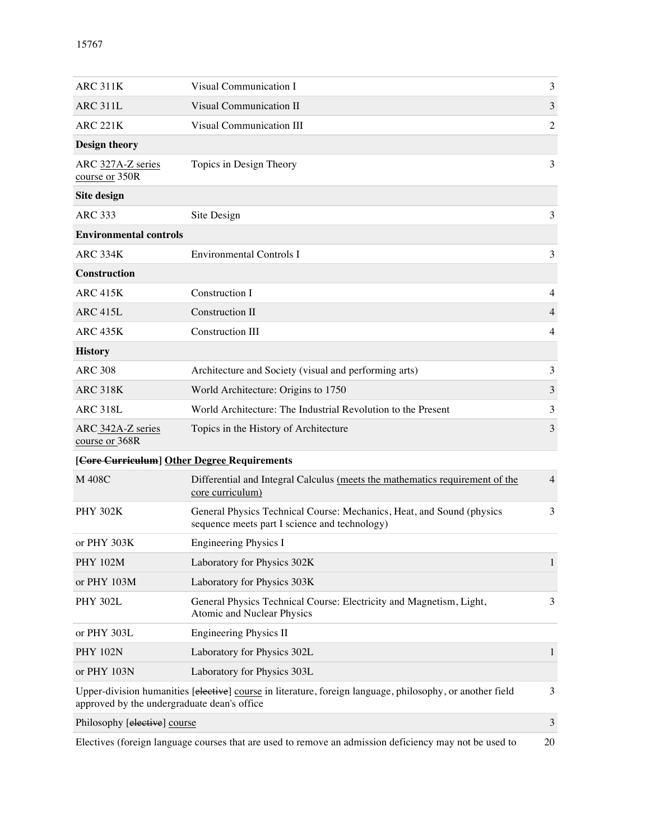| <b>ARC 311K</b>                                                                                                                                               | Visual Communication I                                                                                                 | 3              |  |  |  |  |
|---------------------------------------------------------------------------------------------------------------------------------------------------------------|------------------------------------------------------------------------------------------------------------------------|----------------|--|--|--|--|
| <b>ARC 311L</b>                                                                                                                                               | Visual Communication II                                                                                                | 3              |  |  |  |  |
| <b>ARC 221K</b>                                                                                                                                               | Visual Communication III                                                                                               | $\overline{2}$ |  |  |  |  |
| <b>Design theory</b>                                                                                                                                          |                                                                                                                        |                |  |  |  |  |
| ARC 327A-Z series<br>course or 350R                                                                                                                           | Topics in Design Theory                                                                                                | 3              |  |  |  |  |
| Site design                                                                                                                                                   |                                                                                                                        |                |  |  |  |  |
| <b>ARC 333</b>                                                                                                                                                | Site Design                                                                                                            | 3              |  |  |  |  |
| <b>Environmental controls</b>                                                                                                                                 |                                                                                                                        |                |  |  |  |  |
| <b>ARC 334K</b>                                                                                                                                               | <b>Environmental Controls I</b>                                                                                        | 3              |  |  |  |  |
| Construction                                                                                                                                                  |                                                                                                                        |                |  |  |  |  |
| <b>ARC 415K</b>                                                                                                                                               | Construction I                                                                                                         | 4              |  |  |  |  |
| <b>ARC 415L</b>                                                                                                                                               | <b>Construction II</b>                                                                                                 | 4              |  |  |  |  |
| <b>ARC 435K</b>                                                                                                                                               | Construction III                                                                                                       | 4              |  |  |  |  |
| <b>History</b>                                                                                                                                                |                                                                                                                        |                |  |  |  |  |
| <b>ARC 308</b>                                                                                                                                                | Architecture and Society (visual and performing arts)                                                                  | 3              |  |  |  |  |
| <b>ARC 318K</b>                                                                                                                                               | World Architecture: Origins to 1750                                                                                    | 3              |  |  |  |  |
| <b>ARC 318L</b>                                                                                                                                               | World Architecture: The Industrial Revolution to the Present                                                           | 3              |  |  |  |  |
| ARC 342A-Z series<br>course or 368R                                                                                                                           | Topics in the History of Architecture                                                                                  | 3              |  |  |  |  |
| [Core Curriculum] Other Degree Requirements                                                                                                                   |                                                                                                                        |                |  |  |  |  |
| M 408C                                                                                                                                                        | Differential and Integral Calculus (meets the mathematics requirement of the<br>core curriculum)                       | $\overline{4}$ |  |  |  |  |
| <b>PHY 302K</b>                                                                                                                                               | General Physics Technical Course: Mechanics, Heat, and Sound (physics<br>sequence meets part I science and technology) | 3              |  |  |  |  |
| or PHY 303K                                                                                                                                                   | <b>Engineering Physics I</b>                                                                                           |                |  |  |  |  |
| <b>PHY 102M</b>                                                                                                                                               | Laboratory for Physics 302K                                                                                            | $\mathbf{1}$   |  |  |  |  |
| or PHY 103M                                                                                                                                                   | Laboratory for Physics 303K                                                                                            |                |  |  |  |  |
| <b>PHY 302L</b>                                                                                                                                               | General Physics Technical Course: Electricity and Magnetism, Light,<br>Atomic and Nuclear Physics                      | 3              |  |  |  |  |
| or PHY 303L                                                                                                                                                   | Engineering Physics II                                                                                                 |                |  |  |  |  |
| <b>PHY 102N</b>                                                                                                                                               | Laboratory for Physics 302L                                                                                            | 1              |  |  |  |  |
| or PHY 103N                                                                                                                                                   | Laboratory for Physics 303L                                                                                            |                |  |  |  |  |
| 3<br>Upper-division humanities [elective] course in literature, foreign language, philosophy, or another field<br>approved by the undergraduate dean's office |                                                                                                                        |                |  |  |  |  |
| Philosophy [elective] course<br>3                                                                                                                             |                                                                                                                        |                |  |  |  |  |
| Electives (foreign language courses that are used to remove an admission deficiency may not be used to<br>20                                                  |                                                                                                                        |                |  |  |  |  |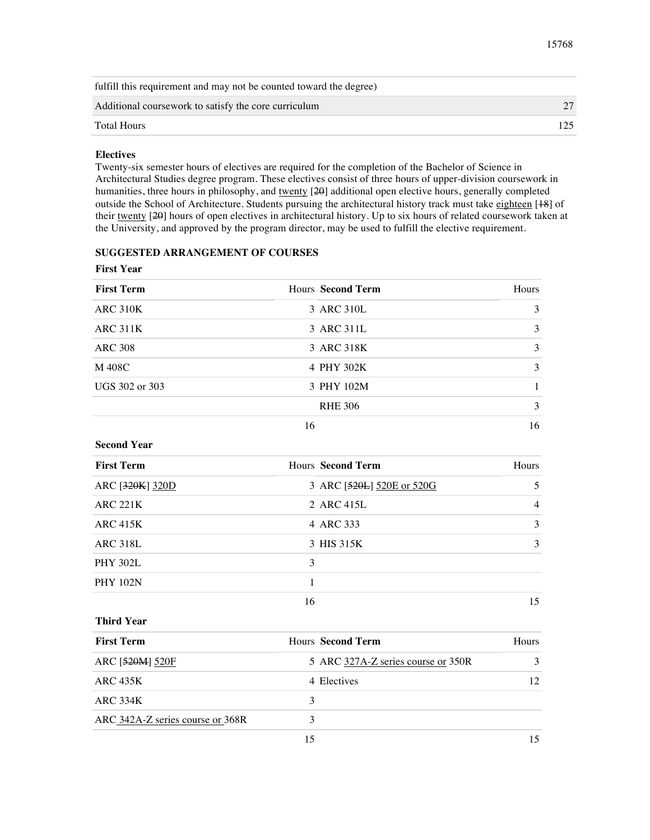#### 15768

| fulfill this requirement and may not be counted toward the degree) |  |
|--------------------------------------------------------------------|--|
| Additional coursework to satisfy the core curriculum               |  |
| <b>Total Hours</b>                                                 |  |
|                                                                    |  |

### **Electives**

Twenty-six semester hours of electives are required for the completion of the Bachelor of Science in Architectural Studies degree program. These electives consist of three hours of upper-division coursework in humanities, three hours in philosophy, and twenty [20] additional open elective hours, generally completed outside the School of Architecture. Students pursuing the architectural history track must take eighteen [18] of their twenty [20] hours of open electives in architectural history. Up to six hours of related coursework taken at the University, and approved by the program director, may be used to fulfill the elective requirement.

# **SUGGESTED ARRANGEMENT OF COURSES**

**First Year**

| Hours Second Term | <b>Hours</b> |
|-------------------|--------------|
| 3 ARC 310L        | 3            |
| 3 ARC 311L        | 3            |
| 3 ARC 318K        | 3            |
| 4 PHY 302K        | 3            |
| 3 PHY 102M        |              |
| <b>RHE 306</b>    | 3            |
|                   |              |

16 16

### **Second Year**

| <b>First Term</b> |    | Hours Second Term         | Hours |
|-------------------|----|---------------------------|-------|
| ARC [320K] 320D   |    | 3 ARC [520L] 520E or 520G | 5.    |
| <b>ARC 221K</b>   |    | 2 ARC 415L                | 4     |
| ARC 415K          |    | 4 ARC 333                 | 3     |
| <b>ARC 318L</b>   |    | 3 HIS 315K                | 3     |
| <b>PHY 302L</b>   | 3  |                           |       |
| <b>PHY 102N</b>   |    |                           |       |
|                   | 16 |                           | 15    |

#### **Third Year**

| <b>First Term</b>                | <b>Hours</b> Second Term           | <b>Hours</b>  |
|----------------------------------|------------------------------------|---------------|
| ARC [520M] 520F                  | 5 ARC 327A-Z series course or 350R | $\mathcal{R}$ |
| ARC 435K                         | 4 Electives                        | 12            |
| <b>ARC 334K</b>                  |                                    |               |
| ARC 342A-Z series course or 368R | ٦                                  |               |
|                                  | 15                                 | 15            |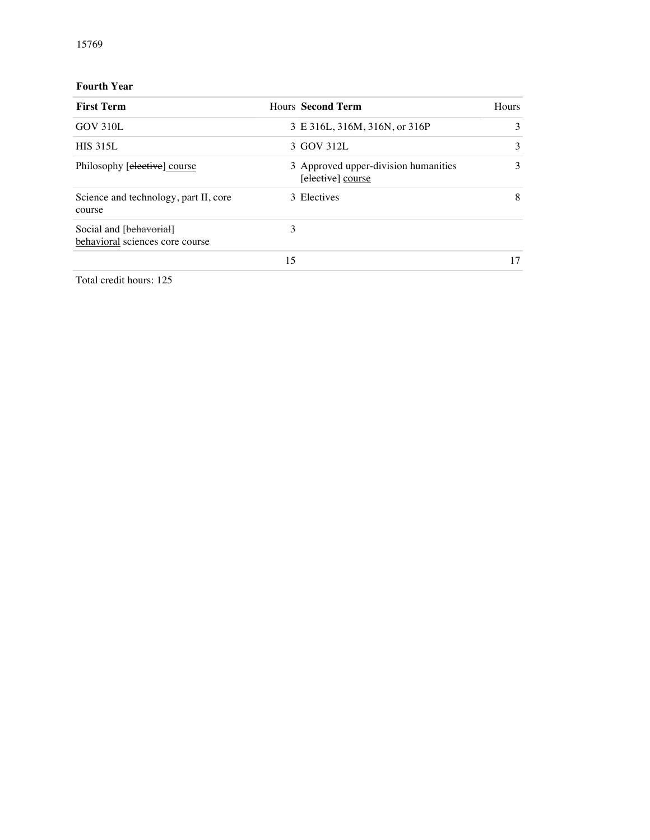# **Fourth Year**

| <b>First Term</b>                                          |    | Hours Second Term                                         | Hours |
|------------------------------------------------------------|----|-----------------------------------------------------------|-------|
| GOV 310L                                                   |    | 3 E 316L, 316M, 316N, or 316P                             | 3     |
| <b>HIS 315L</b>                                            |    | 3 GOV 312L                                                | 3     |
| Philosophy [elective] course                               |    | 3 Approved upper-division humanities<br>[elective] course | 3     |
| Science and technology, part II, core<br>course            |    | 3 Electives                                               | 8     |
| Social and [behavorial]<br>behavioral sciences core course | 3  |                                                           |       |
|                                                            | 15 |                                                           | 17    |

Total credit hours: 125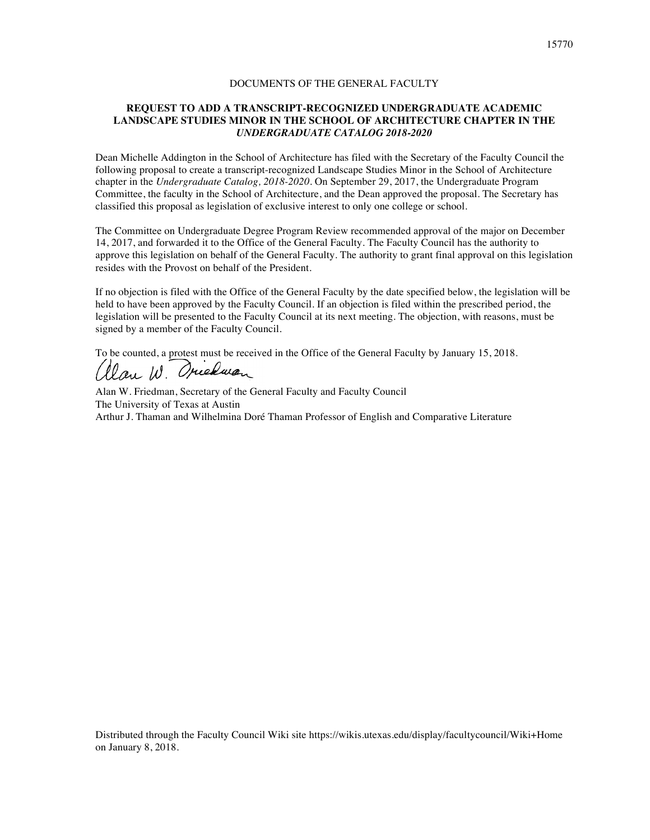# **REQUEST TO ADD A TRANSCRIPT-RECOGNIZED UNDERGRADUATE ACADEMIC LANDSCAPE STUDIES MINOR IN THE SCHOOL OF ARCHITECTURE CHAPTER IN THE**  *UNDERGRADUATE CATALOG 2018-2020*

Dean Michelle Addington in the School of Architecture has filed with the Secretary of the Faculty Council the following proposal to create a transcript-recognized Landscape Studies Minor in the School of Architecture chapter in the *Undergraduate Catalog, 2018-2020*. On September 29, 2017, the Undergraduate Program Committee, the faculty in the School of Architecture, and the Dean approved the proposal. The Secretary has classified this proposal as legislation of exclusive interest to only one college or school.

The Committee on Undergraduate Degree Program Review recommended approval of the major on December 14, 2017, and forwarded it to the Office of the General Faculty. The Faculty Council has the authority to approve this legislation on behalf of the General Faculty. The authority to grant final approval on this legislation resides with the Provost on behalf of the President.

If no objection is filed with the Office of the General Faculty by the date specified below, the legislation will be held to have been approved by the Faculty Council. If an objection is filed within the prescribed period, the legislation will be presented to the Faculty Council at its next meeting. The objection, with reasons, must be signed by a member of the Faculty Council.

To be counted, a protest must be received in the Office of the General Faculty by January 15, 2018.

Alan W. Friedman, Secretary of the General Faculty and Faculty Council The University of Texas at Austin Arthur J. Thaman and Wilhelmina Doré Thaman Professor of English and Comparative Literature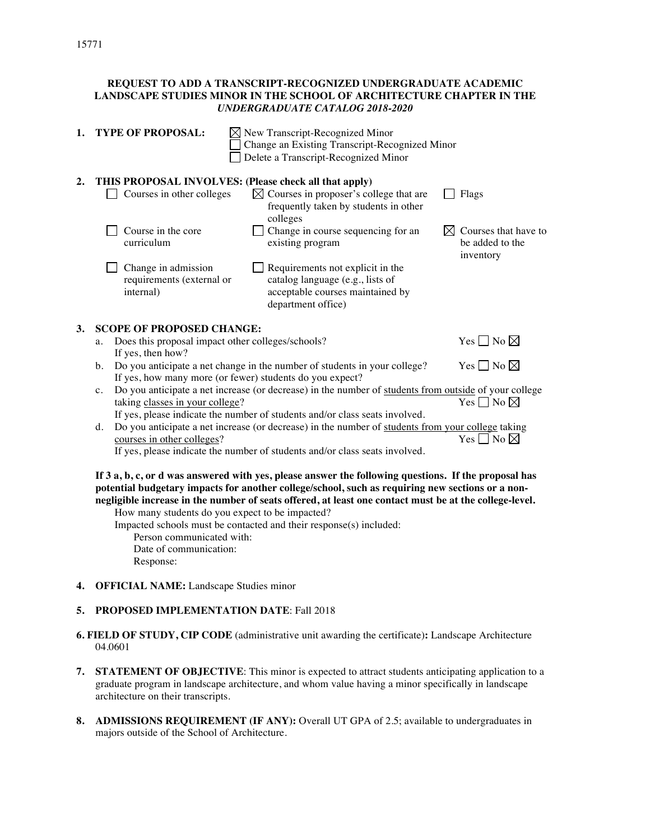# **REQUEST TO ADD A TRANSCRIPT-RECOGNIZED UNDERGRADUATE ACADEMIC LANDSCAPE STUDIES MINOR IN THE SCHOOL OF ARCHITECTURE CHAPTER IN THE**  *UNDERGRADUATE CATALOG 2018-2020*

| 1. |                                                                                                                                                         | <b>TYPE OF PROPOSAL:</b>                                               | $\boxtimes$ New Transcript-Recognized Minor<br>Change an Existing Transcript-Recognized Minor<br>Delete a Transcript-Recognized Minor                                                                                                                                                                              |                                                      |  |
|----|---------------------------------------------------------------------------------------------------------------------------------------------------------|------------------------------------------------------------------------|--------------------------------------------------------------------------------------------------------------------------------------------------------------------------------------------------------------------------------------------------------------------------------------------------------------------|------------------------------------------------------|--|
| 2. |                                                                                                                                                         | Courses in other colleges                                              | THIS PROPOSAL INVOLVES: (Please check all that apply)<br>$\boxtimes$ Courses in proposer's college that are<br>frequently taken by students in other<br>colleges                                                                                                                                                   | Flags                                                |  |
|    |                                                                                                                                                         | Course in the core<br>curriculum                                       | Change in course sequencing for an<br>existing program                                                                                                                                                                                                                                                             | Courses that have to<br>be added to the<br>inventory |  |
|    |                                                                                                                                                         | Change in admission<br>requirements (external or<br>internal)          | Requirements not explicit in the<br>catalog language (e.g., lists of<br>acceptable courses maintained by<br>department office)                                                                                                                                                                                     |                                                      |  |
| 3. |                                                                                                                                                         | <b>SCOPE OF PROPOSED CHANGE:</b>                                       |                                                                                                                                                                                                                                                                                                                    |                                                      |  |
|    | а.                                                                                                                                                      | Does this proposal impact other colleges/schools?<br>If yes, then how? |                                                                                                                                                                                                                                                                                                                    | Yes $\Box$ No $\boxtimes$                            |  |
|    | Do you anticipate a net change in the number of students in your college?<br>$\mathbf{b}$ .<br>If yes, how many more (or fewer) students do you expect? |                                                                        |                                                                                                                                                                                                                                                                                                                    | Yes $\Box$ No $\boxtimes$                            |  |
|    | c.                                                                                                                                                      |                                                                        | Do you anticipate a net increase (or decrease) in the number of students from outside of your college                                                                                                                                                                                                              |                                                      |  |
|    | Yes $\Box$ No $\boxtimes$<br>taking classes in your college?                                                                                            |                                                                        |                                                                                                                                                                                                                                                                                                                    |                                                      |  |
|    | If yes, please indicate the number of students and/or class seats involved.                                                                             |                                                                        |                                                                                                                                                                                                                                                                                                                    |                                                      |  |
|    | d.                                                                                                                                                      | courses in other colleges?                                             | Do you anticipate a net increase (or decrease) in the number of students from your college taking                                                                                                                                                                                                                  | Yes $\Box$ No $\boxtimes$                            |  |
|    |                                                                                                                                                         |                                                                        | If yes, please indicate the number of students and/or class seats involved.                                                                                                                                                                                                                                        |                                                      |  |
|    |                                                                                                                                                         | How many students do you expect to be impacted?                        | If 3 a, b, c, or d was answered with yes, please answer the following questions. If the proposal has<br>potential budgetary impacts for another college/school, such as requiring new sections or a non-<br>negligible increase in the number of seats offered, at least one contact must be at the college-level. |                                                      |  |

Impacted schools must be contacted and their response(s) included:

Person communicated with:

Date of communication: Response:

**4. OFFICIAL NAME:** Landscape Studies minor

# **5. PROPOSED IMPLEMENTATION DATE**: Fall 2018

- **6. FIELD OF STUDY, CIP CODE** (administrative unit awarding the certificate)**:** Landscape Architecture 04.0601
- **7. STATEMENT OF OBJECTIVE**: This minor is expected to attract students anticipating application to a graduate program in landscape architecture, and whom value having a minor specifically in landscape architecture on their transcripts.
- **8. ADMISSIONS REQUIREMENT (IF ANY):** Overall UT GPA of 2.5; available to undergraduates in majors outside of the School of Architecture.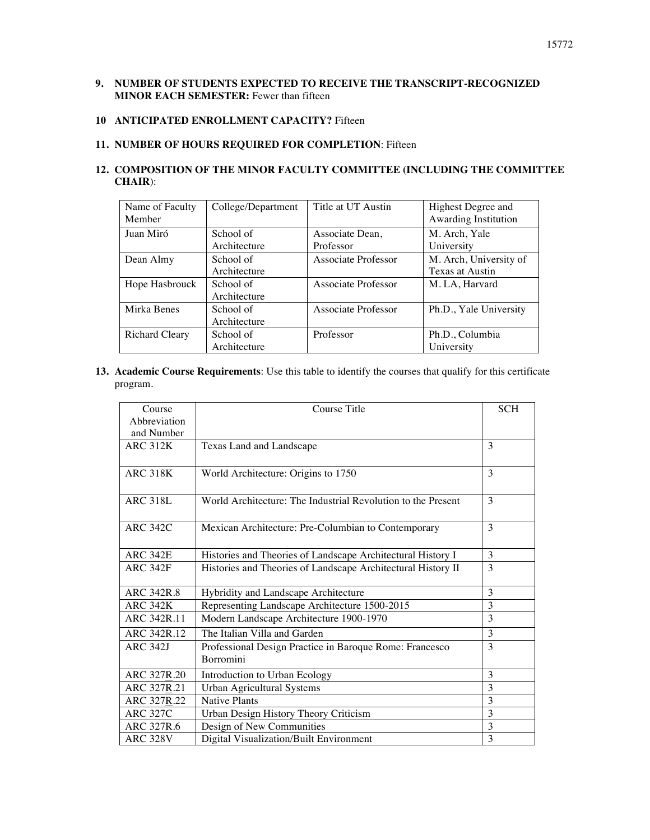# **9. NUMBER OF STUDENTS EXPECTED TO RECEIVE THE TRANSCRIPT-RECOGNIZED MINOR EACH SEMESTER:** Fewer than fifteen

# **10 ANTICIPATED ENROLLMENT CAPACITY?** Fifteen

# **11. NUMBER OF HOURS REQUIRED FOR COMPLETION**: Fifteen

# **12. COMPOSITION OF THE MINOR FACULTY COMMITTEE (INCLUDING THE COMMITTEE CHAIR**):

| Name of Faculty<br>Member | College/Department | Title at UT Austin  | Highest Degree and<br>Awarding Institution |  |
|---------------------------|--------------------|---------------------|--------------------------------------------|--|
| Juan Miró                 | School of          | Associate Dean,     | M. Arch, Yale                              |  |
|                           | Architecture       | Professor           | University                                 |  |
| Dean Almy                 | School of          | Associate Professor | M. Arch, University of                     |  |
|                           | Architecture       |                     | Texas at Austin                            |  |
| Hope Hasbrouck            | School of          | Associate Professor | M. LA, Harvard                             |  |
|                           | Architecture       |                     |                                            |  |
| Mirka Benes               | School of          | Associate Professor | Ph.D., Yale University                     |  |
|                           | Architecture       |                     |                                            |  |
| Richard Cleary            | School of          | Professor           | Ph.D., Columbia                            |  |
|                           | Architecture       |                     | University                                 |  |

**13. Academic Course Requirements**: Use this table to identify the courses that qualify for this certificate program.

| Course            | Course Title                                                 | <b>SCH</b>    |
|-------------------|--------------------------------------------------------------|---------------|
| Abbreviation      |                                                              |               |
| and Number        |                                                              |               |
| <b>ARC 312K</b>   | Texas Land and Landscape                                     | 3             |
|                   |                                                              |               |
| <b>ARC 318K</b>   | World Architecture: Origins to 1750                          | $\mathcal{R}$ |
|                   |                                                              |               |
| <b>ARC 318L</b>   | World Architecture: The Industrial Revolution to the Present | 3             |
|                   |                                                              |               |
| <b>ARC 342C</b>   | Mexican Architecture: Pre-Columbian to Contemporary          | $\mathbf{3}$  |
|                   |                                                              |               |
| <b>ARC 342E</b>   | Histories and Theories of Landscape Architectural History I  | 3             |
| <b>ARC 342F</b>   | Histories and Theories of Landscape Architectural History II |               |
|                   |                                                              |               |
| <b>ARC 342R.8</b> | Hybridity and Landscape Architecture                         | 3             |
| <b>ARC 342K</b>   | Representing Landscape Architecture 1500-2015                | 3             |
| ARC 342R.11       | Modern Landscape Architecture 1900-1970                      | 3             |
| ARC 342R.12       | The Italian Villa and Garden                                 | 3             |
| <b>ARC 342J</b>   | Professional Design Practice in Baroque Rome: Francesco      | 3             |
|                   | <b>Borromini</b>                                             |               |
| ARC 327R.20       | Introduction to Urban Ecology                                | 3             |
| ARC 327R.21       | <b>Urban Agricultural Systems</b>                            | 3             |
| ARC 327R.22       | <b>Native Plants</b>                                         | 3             |
| <b>ARC 327C</b>   | Urban Design History Theory Criticism                        | 3             |
| ARC 327R.6        | Design of New Communities                                    | 3             |
| <b>ARC 328V</b>   | Digital Visualization/Built Environment                      | 3             |